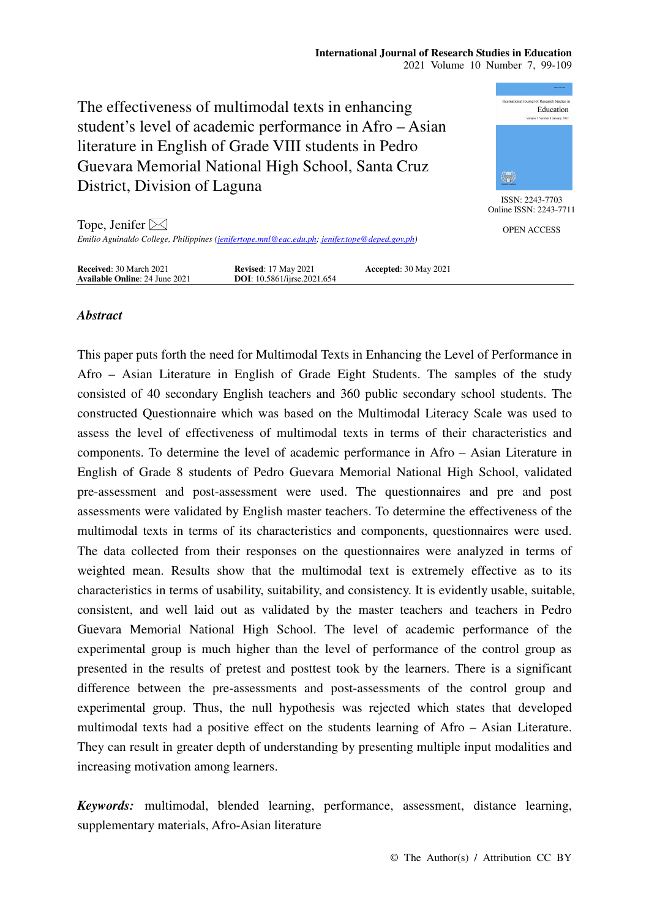#### **International Journal of Research Studies in Education**  2021 Volume 10 Number 7, 99-109

The effectiveness of multimodal texts in enhancing student's level of academic performance in Afro – Asian literature in English of Grade VIII students in Pedro Guevara Memorial National High School, Santa Cruz District, Division of Laguna



ISSN: 2243-7703 Online ISSN: 2243-7711

OPEN ACCESS

Tope, Jenifer  $\boxtimes$ *Emilio Aguinaldo College, Philippines (jenifertope.mnl@eac.edu.ph; jenifer.tope@deped.gov.ph)* 

| <b>Received:</b> 30 March 2021        | <b>Revised:</b> 17 May 2021         | <b>Accepted: 30 May 2021</b> |  |
|---------------------------------------|-------------------------------------|------------------------------|--|
| <b>Available Online: 24 June 2021</b> | <b>DOI</b> : 10.5861/ijrse.2021.654 |                              |  |

# *Abstract*

This paper puts forth the need for Multimodal Texts in Enhancing the Level of Performance in Afro – Asian Literature in English of Grade Eight Students. The samples of the study consisted of 40 secondary English teachers and 360 public secondary school students. The constructed Questionnaire which was based on the Multimodal Literacy Scale was used to assess the level of effectiveness of multimodal texts in terms of their characteristics and components. To determine the level of academic performance in Afro – Asian Literature in English of Grade 8 students of Pedro Guevara Memorial National High School, validated pre-assessment and post-assessment were used. The questionnaires and pre and post assessments were validated by English master teachers. To determine the effectiveness of the multimodal texts in terms of its characteristics and components, questionnaires were used. The data collected from their responses on the questionnaires were analyzed in terms of weighted mean. Results show that the multimodal text is extremely effective as to its characteristics in terms of usability, suitability, and consistency. It is evidently usable, suitable, consistent, and well laid out as validated by the master teachers and teachers in Pedro Guevara Memorial National High School. The level of academic performance of the experimental group is much higher than the level of performance of the control group as presented in the results of pretest and posttest took by the learners. There is a significant difference between the pre-assessments and post-assessments of the control group and experimental group. Thus, the null hypothesis was rejected which states that developed multimodal texts had a positive effect on the students learning of Afro – Asian Literature. They can result in greater depth of understanding by presenting multiple input modalities and increasing motivation among learners.

*Keywords:* multimodal, blended learning, performance, assessment, distance learning, supplementary materials, Afro-Asian literature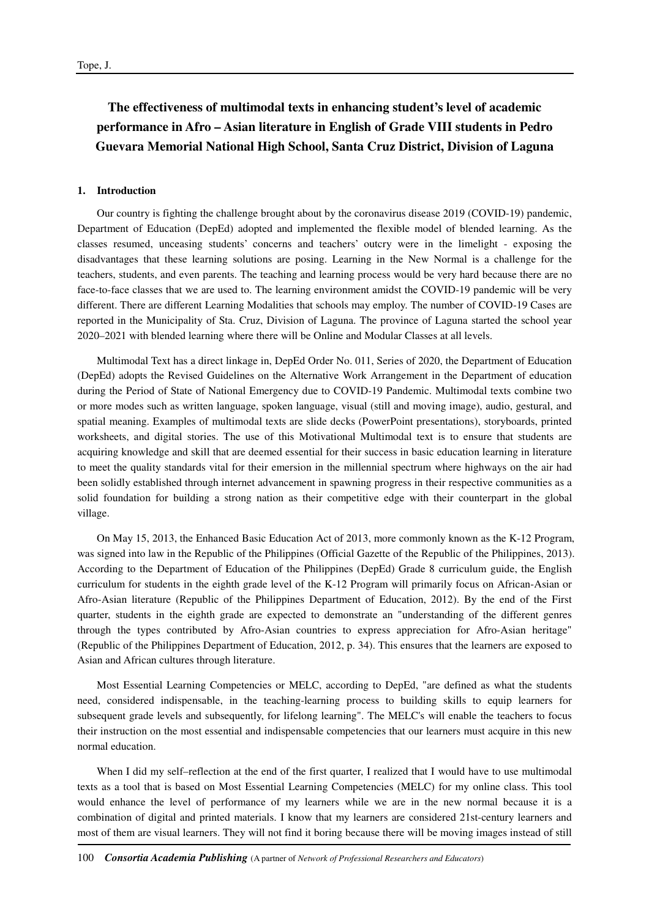# **The effectiveness of multimodal texts in enhancing student's level of academic performance in Afro – Asian literature in English of Grade VIII students in Pedro Guevara Memorial National High School, Santa Cruz District, Division of Laguna**

## **1. Introduction**

Our country is fighting the challenge brought about by the coronavirus disease 2019 (COVID-19) pandemic, Department of Education (DepEd) adopted and implemented the flexible model of blended learning. As the classes resumed, unceasing students' concerns and teachers' outcry were in the limelight - exposing the disadvantages that these learning solutions are posing. Learning in the New Normal is a challenge for the teachers, students, and even parents. The teaching and learning process would be very hard because there are no face-to-face classes that we are used to. The learning environment amidst the COVID-19 pandemic will be very different. There are different Learning Modalities that schools may employ. The number of COVID-19 Cases are reported in the Municipality of Sta. Cruz, Division of Laguna. The province of Laguna started the school year 2020–2021 with blended learning where there will be Online and Modular Classes at all levels.

Multimodal Text has a direct linkage in, DepEd Order No. 011, Series of 2020, the Department of Education (DepEd) adopts the Revised Guidelines on the Alternative Work Arrangement in the Department of education during the Period of State of National Emergency due to COVID-19 Pandemic. Multimodal texts combine two or more modes such as written language, spoken language, visual (still and moving image), audio, gestural, and spatial meaning. Examples of multimodal texts are slide decks (PowerPoint presentations), storyboards, printed worksheets, and digital stories. The use of this Motivational Multimodal text is to ensure that students are acquiring knowledge and skill that are deemed essential for their success in basic education learning in literature to meet the quality standards vital for their emersion in the millennial spectrum where highways on the air had been solidly established through internet advancement in spawning progress in their respective communities as a solid foundation for building a strong nation as their competitive edge with their counterpart in the global village.

On May 15, 2013, the Enhanced Basic Education Act of 2013, more commonly known as the K-12 Program, was signed into law in the Republic of the Philippines (Official Gazette of the Republic of the Philippines, 2013). According to the Department of Education of the Philippines (DepEd) Grade 8 curriculum guide, the English curriculum for students in the eighth grade level of the K-12 Program will primarily focus on African-Asian or Afro-Asian literature (Republic of the Philippines Department of Education, 2012). By the end of the First quarter, students in the eighth grade are expected to demonstrate an "understanding of the different genres through the types contributed by Afro-Asian countries to express appreciation for Afro-Asian heritage" (Republic of the Philippines Department of Education, 2012, p. 34). This ensures that the learners are exposed to Asian and African cultures through literature.

Most Essential Learning Competencies or MELC, according to DepEd, "are defined as what the students need, considered indispensable, in the teaching-learning process to building skills to equip learners for subsequent grade levels and subsequently, for lifelong learning". The MELC's will enable the teachers to focus their instruction on the most essential and indispensable competencies that our learners must acquire in this new normal education.

When I did my self–reflection at the end of the first quarter. I realized that I would have to use multimodal texts as a tool that is based on Most Essential Learning Competencies (MELC) for my online class. This tool would enhance the level of performance of my learners while we are in the new normal because it is a combination of digital and printed materials. I know that my learners are considered 21st-century learners and most of them are visual learners. They will not find it boring because there will be moving images instead of still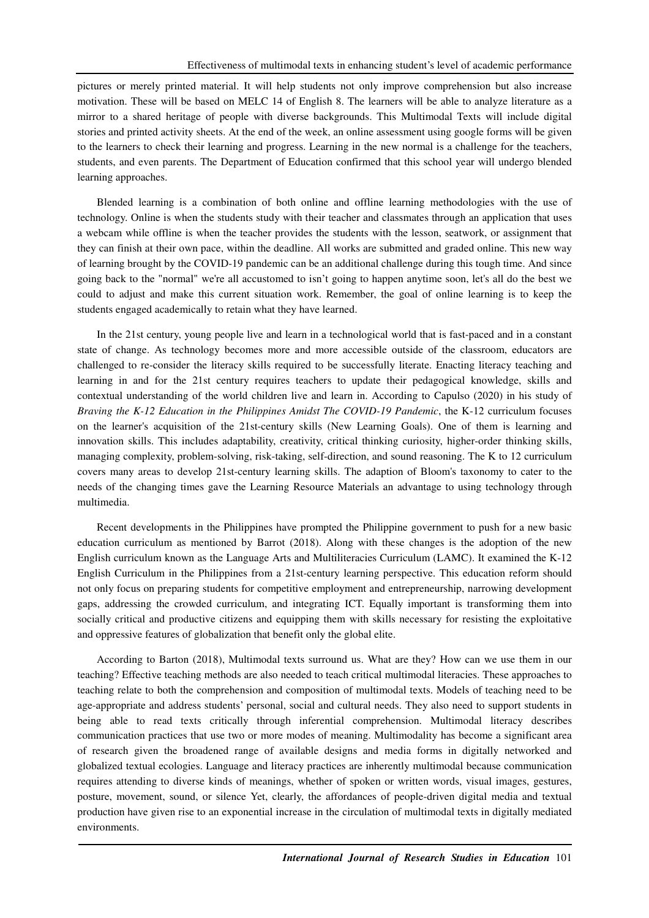pictures or merely printed material. It will help students not only improve comprehension but also increase motivation. These will be based on MELC 14 of English 8. The learners will be able to analyze literature as a mirror to a shared heritage of people with diverse backgrounds. This Multimodal Texts will include digital stories and printed activity sheets. At the end of the week, an online assessment using google forms will be given to the learners to check their learning and progress. Learning in the new normal is a challenge for the teachers, students, and even parents. The Department of Education confirmed that this school year will undergo blended learning approaches.

Blended learning is a combination of both online and offline learning methodologies with the use of technology. Online is when the students study with their teacher and classmates through an application that uses a webcam while offline is when the teacher provides the students with the lesson, seatwork, or assignment that they can finish at their own pace, within the deadline. All works are submitted and graded online. This new way of learning brought by the COVID-19 pandemic can be an additional challenge during this tough time. And since going back to the "normal" we're all accustomed to isn't going to happen anytime soon, let's all do the best we could to adjust and make this current situation work. Remember, the goal of online learning is to keep the students engaged academically to retain what they have learned.

In the 21st century, young people live and learn in a technological world that is fast-paced and in a constant state of change. As technology becomes more and more accessible outside of the classroom, educators are challenged to re-consider the literacy skills required to be successfully literate. Enacting literacy teaching and learning in and for the 21st century requires teachers to update their pedagogical knowledge, skills and contextual understanding of the world children live and learn in. According to Capulso (2020) in his study of *Braving the K-12 Education in the Philippines Amidst The COVID-19 Pandemic*, the K-12 curriculum focuses on the learner's acquisition of the 21st-century skills (New Learning Goals). One of them is learning and innovation skills. This includes adaptability, creativity, critical thinking curiosity, higher-order thinking skills, managing complexity, problem-solving, risk-taking, self-direction, and sound reasoning. The K to 12 curriculum covers many areas to develop 21st-century learning skills. The adaption of Bloom's taxonomy to cater to the needs of the changing times gave the Learning Resource Materials an advantage to using technology through multimedia.

Recent developments in the Philippines have prompted the Philippine government to push for a new basic education curriculum as mentioned by Barrot (2018). Along with these changes is the adoption of the new English curriculum known as the Language Arts and Multiliteracies Curriculum (LAMC). It examined the K-12 English Curriculum in the Philippines from a 21st-century learning perspective. This education reform should not only focus on preparing students for competitive employment and entrepreneurship, narrowing development gaps, addressing the crowded curriculum, and integrating ICT. Equally important is transforming them into socially critical and productive citizens and equipping them with skills necessary for resisting the exploitative and oppressive features of globalization that benefit only the global elite.

According to Barton (2018), Multimodal texts surround us. What are they? How can we use them in our teaching? Effective teaching methods are also needed to teach critical multimodal literacies. These approaches to teaching relate to both the comprehension and composition of multimodal texts. Models of teaching need to be age-appropriate and address students' personal, social and cultural needs. They also need to support students in being able to read texts critically through inferential comprehension. Multimodal literacy describes communication practices that use two or more modes of meaning. Multimodality has become a significant area of research given the broadened range of available designs and media forms in digitally networked and globalized textual ecologies. Language and literacy practices are inherently multimodal because communication requires attending to diverse kinds of meanings, whether of spoken or written words, visual images, gestures, posture, movement, sound, or silence Yet, clearly, the affordances of people-driven digital media and textual production have given rise to an exponential increase in the circulation of multimodal texts in digitally mediated environments.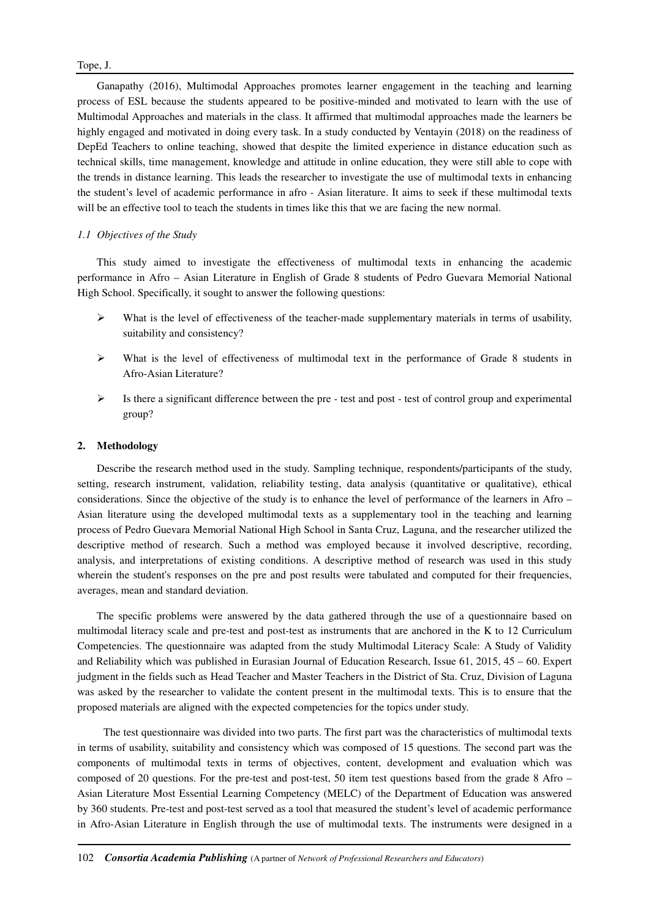## Tope, J.

Ganapathy (2016), Multimodal Approaches promotes learner engagement in the teaching and learning process of ESL because the students appeared to be positive-minded and motivated to learn with the use of Multimodal Approaches and materials in the class. It affirmed that multimodal approaches made the learners be highly engaged and motivated in doing every task. In a study conducted by Ventayin (2018) on the readiness of DepEd Teachers to online teaching, showed that despite the limited experience in distance education such as technical skills, time management, knowledge and attitude in online education, they were still able to cope with the trends in distance learning. This leads the researcher to investigate the use of multimodal texts in enhancing the student's level of academic performance in afro - Asian literature. It aims to seek if these multimodal texts will be an effective tool to teach the students in times like this that we are facing the new normal.

## *1.1 Objectives of the Study*

This study aimed to investigate the effectiveness of multimodal texts in enhancing the academic performance in Afro – Asian Literature in English of Grade 8 students of Pedro Guevara Memorial National High School. Specifically, it sought to answer the following questions:

- What is the level of effectiveness of the teacher-made supplementary materials in terms of usability, suitability and consistency?
- $\triangleright$  What is the level of effectiveness of multimodal text in the performance of Grade 8 students in Afro-Asian Literature?
- $\triangleright$  Is there a significant difference between the pre test and post test of control group and experimental group?

#### **2. Methodology**

Describe the research method used in the study. Sampling technique, respondents/participants of the study, setting, research instrument, validation, reliability testing, data analysis (quantitative or qualitative), ethical considerations. Since the objective of the study is to enhance the level of performance of the learners in Afro – Asian literature using the developed multimodal texts as a supplementary tool in the teaching and learning process of Pedro Guevara Memorial National High School in Santa Cruz, Laguna, and the researcher utilized the descriptive method of research. Such a method was employed because it involved descriptive, recording, analysis, and interpretations of existing conditions. A descriptive method of research was used in this study wherein the student's responses on the pre and post results were tabulated and computed for their frequencies, averages, mean and standard deviation.

The specific problems were answered by the data gathered through the use of a questionnaire based on multimodal literacy scale and pre-test and post-test as instruments that are anchored in the K to 12 Curriculum Competencies. The questionnaire was adapted from the study Multimodal Literacy Scale: A Study of Validity and Reliability which was published in Eurasian Journal of Education Research, Issue 61, 2015, 45 – 60. Expert judgment in the fields such as Head Teacher and Master Teachers in the District of Sta. Cruz, Division of Laguna was asked by the researcher to validate the content present in the multimodal texts. This is to ensure that the proposed materials are aligned with the expected competencies for the topics under study.

 The test questionnaire was divided into two parts. The first part was the characteristics of multimodal texts in terms of usability, suitability and consistency which was composed of 15 questions. The second part was the components of multimodal texts in terms of objectives, content, development and evaluation which was composed of 20 questions. For the pre-test and post-test, 50 item test questions based from the grade 8 Afro – Asian Literature Most Essential Learning Competency (MELC) of the Department of Education was answered by 360 students. Pre-test and post-test served as a tool that measured the student's level of academic performance in Afro-Asian Literature in English through the use of multimodal texts. The instruments were designed in a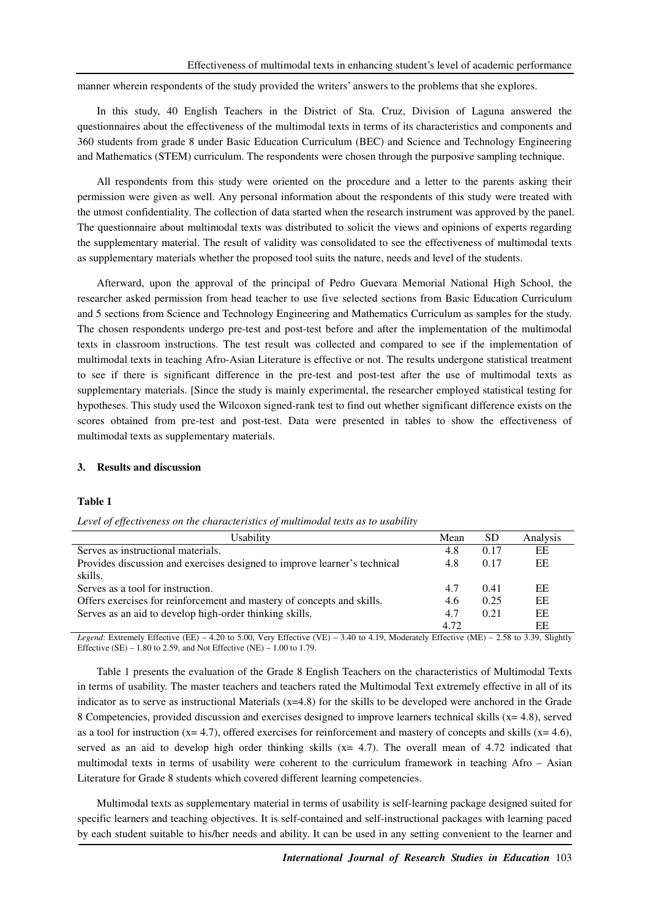manner wherein respondents of the study provided the writers' answers to the problems that she explores.

In this study, 40 English Teachers in the District of Sta. Cruz, Division of Laguna answered the questionnaires about the effectiveness of the multimodal texts in terms of its characteristics and components and 360 students from grade 8 under Basic Education Curriculum (BEC) and Science and Technology Engineering and Mathematics (STEM) curriculum. The respondents were chosen through the purposive sampling technique.

All respondents from this study were oriented on the procedure and a letter to the parents asking their permission were given as well. Any personal information about the respondents of this study were treated with the utmost confidentiality. The collection of data started when the research instrument was approved by the panel. The questionnaire about multimodal texts was distributed to solicit the views and opinions of experts regarding the supplementary material. The result of validity was consolidated to see the effectiveness of multimodal texts as supplementary materials whether the proposed tool suits the nature, needs and level of the students.

Afterward, upon the approval of the principal of Pedro Guevara Memorial National High School, the researcher asked permission from head teacher to use five selected sections from Basic Education Curriculum and 5 sections from Science and Technology Engineering and Mathematics Curriculum as samples for the study. The chosen respondents undergo pre-test and post-test before and after the implementation of the multimodal texts in classroom instructions. The test result was collected and compared to see if the implementation of multimodal texts in teaching Afro-Asian Literature is effective or not. The results undergone statistical treatment to see if there is significant difference in the pre-test and post-test after the use of multimodal texts as supplementary materials. [Since the study is mainly experimental, the researcher employed statistical testing for hypotheses. This study used the Wilcoxon signed-rank test to find out whether significant difference exists on the scores obtained from pre-test and post-test. Data were presented in tables to show the effectiveness of multimodal texts as supplementary materials.

#### **3. Results and discussion**

#### **Table 1**

| Level of effectiveness on the characteristics of multimodal texts as to usability |  |  |  |
|-----------------------------------------------------------------------------------|--|--|--|
|                                                                                   |  |  |  |

| Usability                                                                 | Mean | SD   | Analysis |
|---------------------------------------------------------------------------|------|------|----------|
| Serves as instructional materials.                                        | 4.8  | 0.17 | EE       |
| Provides discussion and exercises designed to improve learner's technical | 4.8  | 0.17 | EE       |
| skills.                                                                   |      |      |          |
| Serves as a tool for instruction.                                         | 4.7  | 0.41 | EE       |
| Offers exercises for reinforcement and mastery of concepts and skills.    | 4.6  | 0.25 | EE       |
| Serves as an aid to develop high-order thinking skills.                   | 4.7  | 0.21 | EE       |
|                                                                           | 4.72 |      | EΕ       |

*Legend*: Extremely Effective (EE) – 4.20 to 5.00, Very Effective (VE) – 3.40 to 4.19, Moderately Effective (ME) – 2.58 to 3.39, Slightly Effective  $(SE) - 1.80$  to 2.59, and Not Effective  $(NE) - 1.00$  to 1.79.

Table 1 presents the evaluation of the Grade 8 English Teachers on the characteristics of Multimodal Texts in terms of usability. The master teachers and teachers rated the Multimodal Text extremely effective in all of its indicator as to serve as instructional Materials  $(x=4.8)$  for the skills to be developed were anchored in the Grade 8 Competencies, provided discussion and exercises designed to improve learners technical skills (x= 4.8), served as a tool for instruction  $(x= 4.7)$ , offered exercises for reinforcement and mastery of concepts and skills  $(x= 4.6)$ , served as an aid to develop high order thinking skills  $(x= 4.7)$ . The overall mean of 4.72 indicated that multimodal texts in terms of usability were coherent to the curriculum framework in teaching Afro – Asian Literature for Grade 8 students which covered different learning competencies.

Multimodal texts as supplementary material in terms of usability is self-learning package designed suited for specific learners and teaching objectives. It is self-contained and self-instructional packages with learning paced by each student suitable to his/her needs and ability. It can be used in any setting convenient to the learner and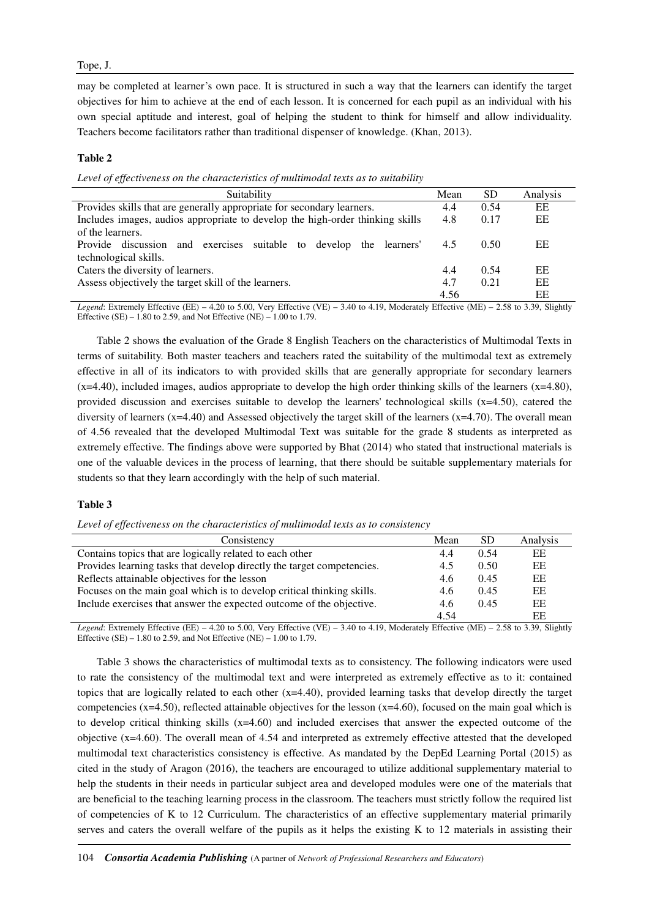may be completed at learner's own pace. It is structured in such a way that the learners can identify the target objectives for him to achieve at the end of each lesson. It is concerned for each pupil as an individual with his own special aptitude and interest, goal of helping the student to think for himself and allow individuality. Teachers become facilitators rather than traditional dispenser of knowledge. (Khan, 2013).

## **Table 2**

*Level of effectiveness on the characteristics of multimodal texts as to suitability* 

| Suitability                                                                   | Mean | <b>SD</b> | Analysis |
|-------------------------------------------------------------------------------|------|-----------|----------|
| Provides skills that are generally appropriate for secondary learners.        | 4.4  | 0.54      | EE       |
| Includes images, audios appropriate to develop the high-order thinking skills | 4.8  | 0.17      | EE       |
| of the learners.                                                              |      |           |          |
| and exercises suitable to develop the learners'<br>Provide discussion         | 4.5  | 0.50      | EE       |
| technological skills.                                                         |      |           |          |
| Caters the diversity of learners.                                             | 4.4  | 0.54      | EE       |
| Assess objectively the target skill of the learners.                          | 4.7  | 0.21      | EE       |
|                                                                               | 4.56 |           | ЕE       |

*Legend*: Extremely Effective (EE) – 4.20 to 5.00, Very Effective (VE) – 3.40 to 4.19, Moderately Effective (ME) – 2.58 to 3.39, Slightly Effective  $(SE) - 1.80$  to 2.59, and Not Effective  $(NE) - 1.00$  to 1.79.

Table 2 shows the evaluation of the Grade 8 English Teachers on the characteristics of Multimodal Texts in terms of suitability. Both master teachers and teachers rated the suitability of the multimodal text as extremely effective in all of its indicators to with provided skills that are generally appropriate for secondary learners  $(x=4.40)$ , included images, audios appropriate to develop the high order thinking skills of the learners  $(x=4.80)$ , provided discussion and exercises suitable to develop the learners' technological skills  $(x=4.50)$ , catered the diversity of learners  $(x=4.40)$  and Assessed objectively the target skill of the learners  $(x=4.70)$ . The overall mean of 4.56 revealed that the developed Multimodal Text was suitable for the grade 8 students as interpreted as extremely effective. The findings above were supported by Bhat (2014) who stated that instructional materials is one of the valuable devices in the process of learning, that there should be suitable supplementary materials for students so that they learn accordingly with the help of such material.

#### **Table 3**

*Level of effectiveness on the characteristics of multimodal texts as to consistency* 

| Consistency                                                            | Mean | <b>SD</b> | Analysis |
|------------------------------------------------------------------------|------|-----------|----------|
| Contains topics that are logically related to each other               | 4.4  | 0.54      | EE       |
| Provides learning tasks that develop directly the target competencies. | 4.5  | 0.50      | EE       |
| Reflects attainable objectives for the lesson                          | 4.6  | 0.45      | EE       |
| Focuses on the main goal which is to develop critical thinking skills. | 4.6  | 0.45      | EE       |
| Include exercises that answer the expected outcome of the objective.   | 4.6  | 0.45      | EE       |
|                                                                        | 4.54 |           | EΕ       |

*Legend*: Extremely Effective (EE) – 4.20 to 5.00, Very Effective (VE) – 3.40 to 4.19, Moderately Effective (ME) – 2.58 to 3.39, Slightly Effective  $(SE) - 1.80$  to 2.59, and Not Effective  $(NE) - 1.00$  to 1.79.

Table 3 shows the characteristics of multimodal texts as to consistency. The following indicators were used to rate the consistency of the multimodal text and were interpreted as extremely effective as to it: contained topics that are logically related to each other (x=4.40), provided learning tasks that develop directly the target competencies  $(x=4.50)$ , reflected attainable objectives for the lesson  $(x=4.60)$ , focused on the main goal which is to develop critical thinking skills  $(x=4.60)$  and included exercises that answer the expected outcome of the objective (x=4.60). The overall mean of 4.54 and interpreted as extremely effective attested that the developed multimodal text characteristics consistency is effective. As mandated by the DepEd Learning Portal (2015) as cited in the study of Aragon (2016), the teachers are encouraged to utilize additional supplementary material to help the students in their needs in particular subject area and developed modules were one of the materials that are beneficial to the teaching learning process in the classroom. The teachers must strictly follow the required list of competencies of K to 12 Curriculum. The characteristics of an effective supplementary material primarily serves and caters the overall welfare of the pupils as it helps the existing K to 12 materials in assisting their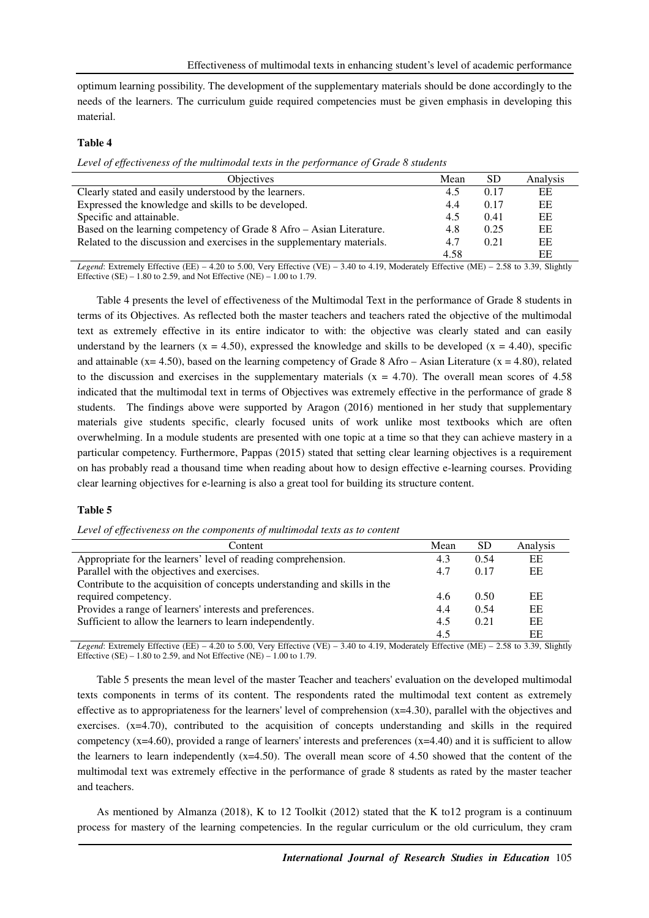optimum learning possibility. The development of the supplementary materials should be done accordingly to the needs of the learners. The curriculum guide required competencies must be given emphasis in developing this material.

## **Table 4**

*Level of effectiveness of the multimodal texts in the performance of Grade 8 students* 

| <b>Objectives</b>                                                       | Mean | <b>SD</b> | Analysis |
|-------------------------------------------------------------------------|------|-----------|----------|
| Clearly stated and easily understood by the learners.                   | 4.5  | 0.17      | EΕ       |
| Expressed the knowledge and skills to be developed.                     | 4.4  | 0.17      | EΕ       |
| Specific and attainable.                                                | 4.5  | 0.41      | EΕ       |
| Based on the learning competency of Grade 8 Afro – Asian Literature.    | 4.8  | 0.25      | EΕ       |
| Related to the discussion and exercises in the supplementary materials. | 4.7  | 0.21      | EΕ       |
|                                                                         | 4.58 |           | EЕ       |

*Legend*: Extremely Effective (EE) – 4.20 to 5.00, Very Effective (VE) – 3.40 to 4.19, Moderately Effective (ME) – 2.58 to 3.39, Slightly Effective  $(SE) - 1.80$  to 2.59, and Not Effective  $(NE) - 1.00$  to 1.79.

Table 4 presents the level of effectiveness of the Multimodal Text in the performance of Grade 8 students in terms of its Objectives. As reflected both the master teachers and teachers rated the objective of the multimodal text as extremely effective in its entire indicator to with: the objective was clearly stated and can easily understand by the learners (x = 4.50), expressed the knowledge and skills to be developed (x = 4.40), specific and attainable ( $x=4.50$ ), based on the learning competency of Grade 8 Afro – Asian Literature ( $x = 4.80$ ), related to the discussion and exercises in the supplementary materials  $(x = 4.70)$ . The overall mean scores of 4.58 indicated that the multimodal text in terms of Objectives was extremely effective in the performance of grade 8 students. The findings above were supported by Aragon (2016) mentioned in her study that supplementary materials give students specific, clearly focused units of work unlike most textbooks which are often overwhelming. In a module students are presented with one topic at a time so that they can achieve mastery in a particular competency. Furthermore, Pappas (2015) stated that setting clear learning objectives is a requirement on has probably read a thousand time when reading about how to design effective e-learning courses. Providing clear learning objectives for e-learning is also a great tool for building its structure content.

#### **Table 5**

#### *Level of effectiveness on the components of multimodal texts as to content*

| Content                                                                   | Mean | <b>SD</b> | Analysis |
|---------------------------------------------------------------------------|------|-----------|----------|
| Appropriate for the learners' level of reading comprehension.             | 4.3  | 0.54      | EE       |
| Parallel with the objectives and exercises.                               | 4.7  | 0.17      | EE       |
| Contribute to the acquisition of concepts understanding and skills in the |      |           |          |
| required competency.                                                      | 4.6  | 0.50      | EE       |
| Provides a range of learners' interests and preferences.                  | 4.4  | 0.54      | EE       |
| Sufficient to allow the learners to learn independently.                  | 4.5  | 0.21      | EE       |
|                                                                           | 4.5  |           | ЕE       |

*Legend*: Extremely Effective (EE) – 4.20 to 5.00, Very Effective (VE) – 3.40 to 4.19, Moderately Effective (ME) – 2.58 to 3.39, Slightly Effective (SE) – 1.80 to 2.59, and Not Effective (NE) – 1.00 to 1.79.

Table 5 presents the mean level of the master Teacher and teachers' evaluation on the developed multimodal texts components in terms of its content. The respondents rated the multimodal text content as extremely effective as to appropriateness for the learners' level of comprehension  $(x=4.30)$ , parallel with the objectives and exercises.  $(x=4.70)$ , contributed to the acquisition of concepts understanding and skills in the required competency  $(x=4.60)$ , provided a range of learners' interests and preferences  $(x=4.40)$  and it is sufficient to allow the learners to learn independently  $(x=4.50)$ . The overall mean score of 4.50 showed that the content of the multimodal text was extremely effective in the performance of grade 8 students as rated by the master teacher and teachers.

As mentioned by Almanza (2018), K to 12 Toolkit (2012) stated that the K to12 program is a continuum process for mastery of the learning competencies. In the regular curriculum or the old curriculum, they cram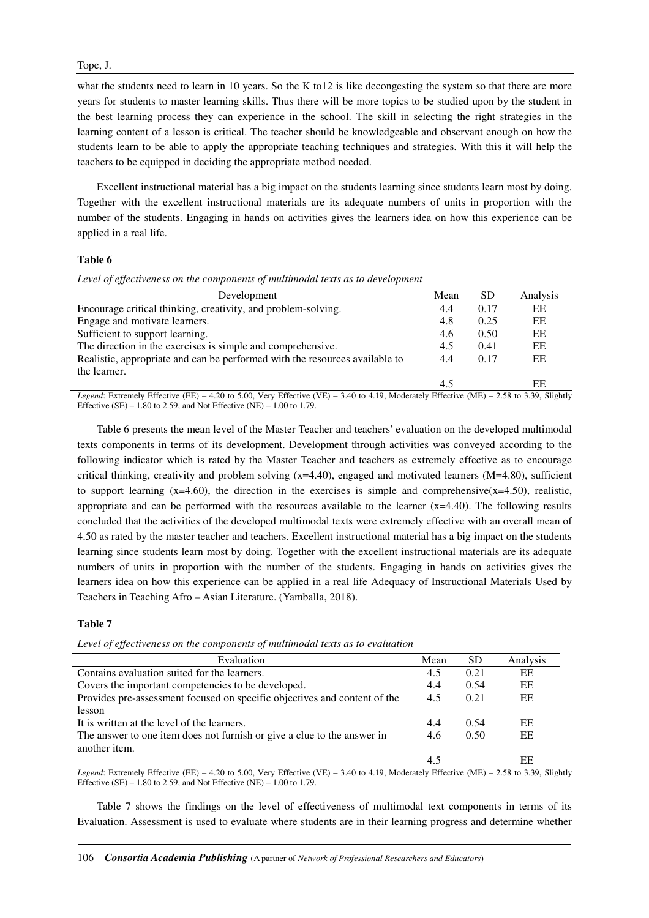## Tope, J.

what the students need to learn in 10 years. So the K to 12 is like decongesting the system so that there are more years for students to master learning skills. Thus there will be more topics to be studied upon by the student in the best learning process they can experience in the school. The skill in selecting the right strategies in the learning content of a lesson is critical. The teacher should be knowledgeable and observant enough on how the students learn to be able to apply the appropriate teaching techniques and strategies. With this it will help the teachers to be equipped in deciding the appropriate method needed.

Excellent instructional material has a big impact on the students learning since students learn most by doing. Together with the excellent instructional materials are its adequate numbers of units in proportion with the number of the students. Engaging in hands on activities gives the learners idea on how this experience can be applied in a real life.

## **Table 6**

Level of effectiveness on the components of multimodal texts as to development

| Development                                                                 | Mean | <b>SD</b> | Analysis |
|-----------------------------------------------------------------------------|------|-----------|----------|
| Encourage critical thinking, creativity, and problem-solving.               | 4.4  | 0.17      | EE       |
| Engage and motivate learners.                                               | 4.8  | 0.25      | EE       |
| Sufficient to support learning.                                             | 4.6  | 0.50      | EE       |
| The direction in the exercises is simple and comprehensive.                 | 4.5  | 0.41      | EΕ       |
| Realistic, appropriate and can be performed with the resources available to | 4.4  | 0.17      | EE       |
| the learner.                                                                |      |           |          |
|                                                                             | 4.5  |           | EЕ       |

*Legend*: Extremely Effective (EE) – 4.20 to 5.00, Very Effective (VE) – 3.40 to 4.19, Moderately Effective (ME) – 2.58 to 3.39, Slightly Effective  $(SE) - 1.80$  to 2.59, and Not Effective  $(NE) - 1.00$  to 1.79.

Table 6 presents the mean level of the Master Teacher and teachers' evaluation on the developed multimodal texts components in terms of its development. Development through activities was conveyed according to the following indicator which is rated by the Master Teacher and teachers as extremely effective as to encourage critical thinking, creativity and problem solving  $(x=4.40)$ , engaged and motivated learners  $(M=4.80)$ , sufficient to support learning  $(x=4.60)$ , the direction in the exercises is simple and comprehensive $(x=4.50)$ , realistic, appropriate and can be performed with the resources available to the learner (x=4.40). The following results concluded that the activities of the developed multimodal texts were extremely effective with an overall mean of 4.50 as rated by the master teacher and teachers. Excellent instructional material has a big impact on the students learning since students learn most by doing. Together with the excellent instructional materials are its adequate numbers of units in proportion with the number of the students. Engaging in hands on activities gives the learners idea on how this experience can be applied in a real life Adequacy of Instructional Materials Used by Teachers in Teaching Afro – Asian Literature. (Yamballa, 2018).

#### **Table 7**

*Level of effectiveness on the components of multimodal texts as to evaluation* 

| Evaluation                                                                | Mean | <b>SD</b> | Analysis |
|---------------------------------------------------------------------------|------|-----------|----------|
| Contains evaluation suited for the learners.                              | 4.5  | 0.21      | EE       |
| Covers the important competencies to be developed.                        | 4.4  | 0.54      | EE       |
| Provides pre-assessment focused on specific objectives and content of the | 4.5  | 0.21      | EE       |
| lesson                                                                    |      |           |          |
| It is written at the level of the learners.                               | 4.4  | 0.54      | EE       |
| The answer to one item does not furnish or give a clue to the answer in   | 4.6  | 0.50      | EE       |
| another item.                                                             |      |           |          |
|                                                                           | 4.5  |           | ЕE       |

*Legend*: Extremely Effective (EE) – 4.20 to 5.00, Very Effective (VE) – 3.40 to 4.19, Moderately Effective (ME) – 2.58 to 3.39, Slightly Effective (SE) – 1.80 to 2.59, and Not Effective (NE) – 1.00 to 1.79.

Table 7 shows the findings on the level of effectiveness of multimodal text components in terms of its Evaluation. Assessment is used to evaluate where students are in their learning progress and determine whether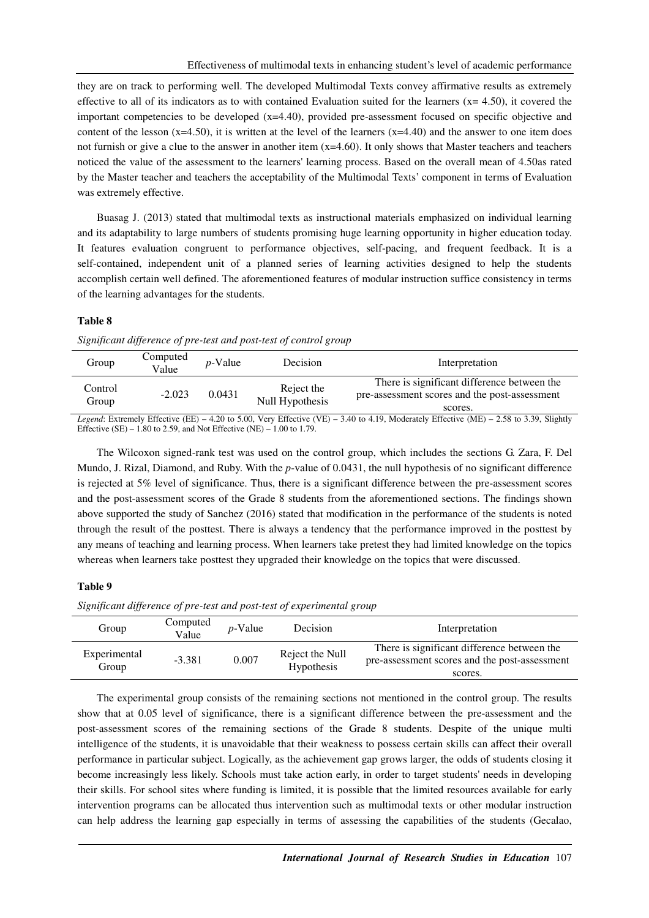they are on track to performing well. The developed Multimodal Texts convey affirmative results as extremely effective to all of its indicators as to with contained Evaluation suited for the learners  $(x= 4.50)$ , it covered the important competencies to be developed  $(x=4.40)$ , provided pre-assessment focused on specific objective and content of the lesson  $(x=4.50)$ , it is written at the level of the learners  $(x=4.40)$  and the answer to one item does not furnish or give a clue to the answer in another item  $(x=4.60)$ . It only shows that Master teachers and teachers noticed the value of the assessment to the learners' learning process. Based on the overall mean of 4.50as rated by the Master teacher and teachers the acceptability of the Multimodal Texts' component in terms of Evaluation was extremely effective.

Buasag J. (2013) stated that multimodal texts as instructional materials emphasized on individual learning and its adaptability to large numbers of students promising huge learning opportunity in higher education today. It features evaluation congruent to performance objectives, self-pacing, and frequent feedback. It is a self-contained, independent unit of a planned series of learning activities designed to help the students accomplish certain well defined. The aforementioned features of modular instruction suffice consistency in terms of the learning advantages for the students.

#### **Table 8**

*Significant difference of pre-test and post-test of control group* 

| Group            | Computed<br>Value | $p$ -Value | Decision                      | Interpretation                                                                                          |
|------------------|-------------------|------------|-------------------------------|---------------------------------------------------------------------------------------------------------|
| Control<br>Group | $-2.023$          | 0.0431     | Reject the<br>Null Hypothesis | There is significant difference between the<br>pre-assessment scores and the post-assessment<br>scores. |

*Legend*: Extremely Effective (EE) – 4.20 to 5.00, Very Effective (VE) – 3.40 to 4.19, Moderately Effective (ME) – 2.58 to 3.39, Slightly Effective (SE) – 1.80 to 2.59, and Not Effective (NE) – 1.00 to 1.79.

The Wilcoxon signed-rank test was used on the control group, which includes the sections G. Zara, F. Del Mundo, J. Rizal, Diamond, and Ruby. With the *p*-value of 0.0431, the null hypothesis of no significant difference is rejected at 5% level of significance. Thus, there is a significant difference between the pre-assessment scores and the post-assessment scores of the Grade 8 students from the aforementioned sections. The findings shown above supported the study of Sanchez (2016) stated that modification in the performance of the students is noted through the result of the posttest. There is always a tendency that the performance improved in the posttest by any means of teaching and learning process. When learners take pretest they had limited knowledge on the topics whereas when learners take posttest they upgraded their knowledge on the topics that were discussed.

#### **Table 9**

*Significant difference of pre-test and post-test of experimental group* 

| Group                 | Computed<br>Value | $p$ -Value | Decision                      | Interpretation                                                                                          |
|-----------------------|-------------------|------------|-------------------------------|---------------------------------------------------------------------------------------------------------|
| Experimental<br>Group | $-3.381$          | 0.007      | Reject the Null<br>Hypothesis | There is significant difference between the<br>pre-assessment scores and the post-assessment<br>scores. |

The experimental group consists of the remaining sections not mentioned in the control group. The results show that at 0.05 level of significance, there is a significant difference between the pre-assessment and the post-assessment scores of the remaining sections of the Grade 8 students. Despite of the unique multi intelligence of the students, it is unavoidable that their weakness to possess certain skills can affect their overall performance in particular subject. Logically, as the achievement gap grows larger, the odds of students closing it become increasingly less likely. Schools must take action early, in order to target students' needs in developing their skills. For school sites where funding is limited, it is possible that the limited resources available for early intervention programs can be allocated thus intervention such as multimodal texts or other modular instruction can help address the learning gap especially in terms of assessing the capabilities of the students (Gecalao,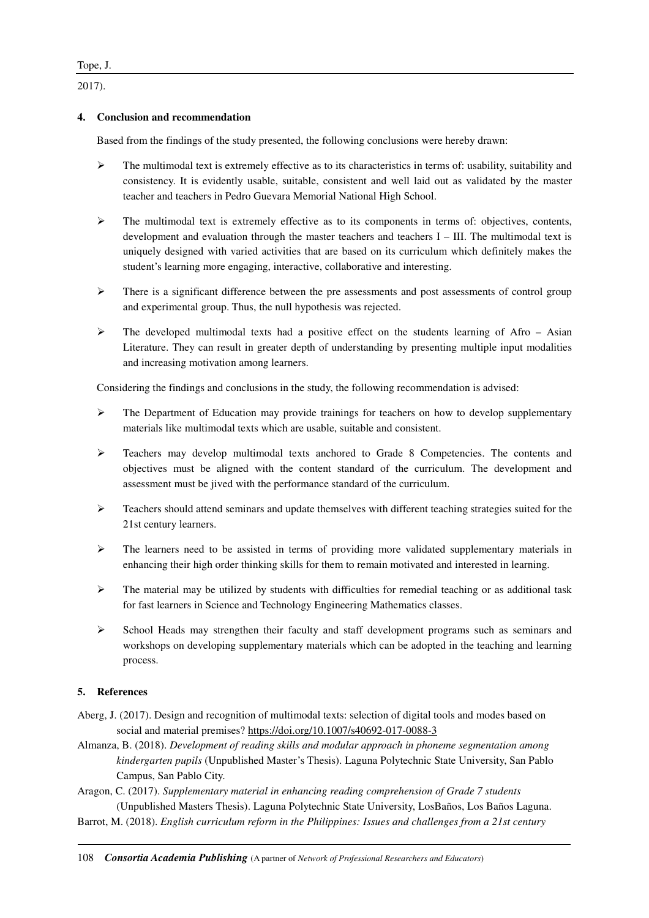2017).

## **4. Conclusion and recommendation**

Based from the findings of the study presented, the following conclusions were hereby drawn:

- $\triangleright$  The multimodal text is extremely effective as to its characteristics in terms of: usability, suitability and consistency. It is evidently usable, suitable, consistent and well laid out as validated by the master teacher and teachers in Pedro Guevara Memorial National High School.
- $\triangleright$  The multimodal text is extremely effective as to its components in terms of: objectives, contents, development and evaluation through the master teachers and teachers I – III. The multimodal text is uniquely designed with varied activities that are based on its curriculum which definitely makes the student's learning more engaging, interactive, collaborative and interesting.
- $\triangleright$  There is a significant difference between the pre assessments and post assessments of control group and experimental group. Thus, the null hypothesis was rejected.
- $\triangleright$  The developed multimodal texts had a positive effect on the students learning of Afro Asian Literature. They can result in greater depth of understanding by presenting multiple input modalities and increasing motivation among learners.

Considering the findings and conclusions in the study, the following recommendation is advised:

- $\triangleright$  The Department of Education may provide trainings for teachers on how to develop supplementary materials like multimodal texts which are usable, suitable and consistent.
- $\triangleright$  Teachers may develop multimodal texts anchored to Grade 8 Competencies. The contents and objectives must be aligned with the content standard of the curriculum. The development and assessment must be jived with the performance standard of the curriculum.
- $\triangleright$  Teachers should attend seminars and update themselves with different teaching strategies suited for the 21st century learners.
- $\triangleright$  The learners need to be assisted in terms of providing more validated supplementary materials in enhancing their high order thinking skills for them to remain motivated and interested in learning.
- $\triangleright$  The material may be utilized by students with difficulties for remedial teaching or as additional task for fast learners in Science and Technology Engineering Mathematics classes.
- $\triangleright$  School Heads may strengthen their faculty and staff development programs such as seminars and workshops on developing supplementary materials which can be adopted in the teaching and learning process.

# **5. References**

- Aberg, J. (2017). Design and recognition of multimodal texts: selection of digital tools and modes based on social and material premises? https://doi.org/10.1007/s40692-017-0088-3
- Almanza, B. (2018). *Development of reading skills and modular approach in phoneme segmentation among kindergarten pupils* (Unpublished Master's Thesis). Laguna Polytechnic State University, San Pablo Campus, San Pablo City.
- Aragon, C. (2017). *Supplementary material in enhancing reading comprehension of Grade 7 students* (Unpublished Masters Thesis). Laguna Polytechnic State University, LosBaños, Los Baños Laguna.
- Barrot, M. (2018). *English curriculum reform in the Philippines: Issues and challenges from a 21st century*